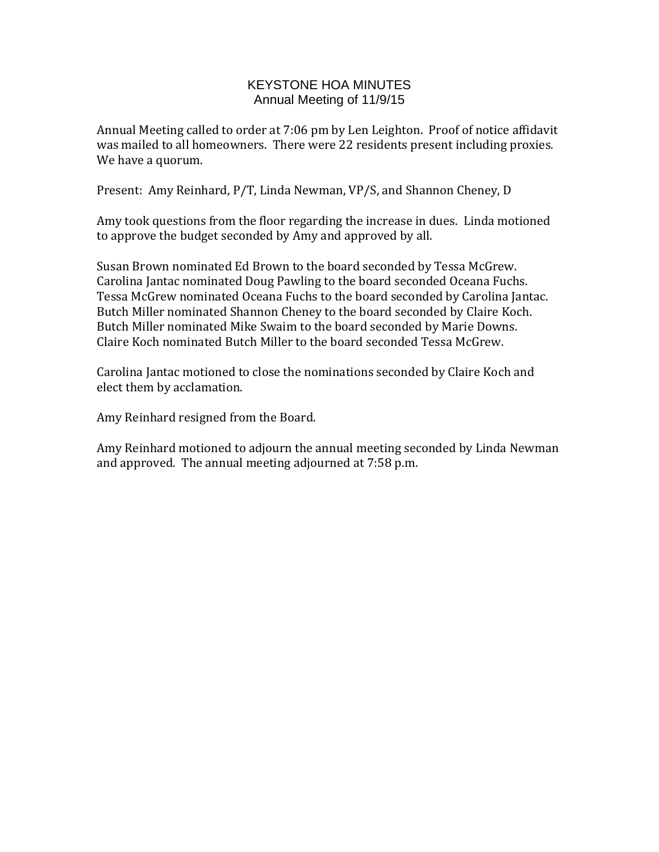## KEYSTONE HOA MINUTES Annual Meeting of 11/9/15

Annual Meeting called to order at 7:06 pm by Len Leighton. Proof of notice affidavit was mailed to all homeowners. There were 22 residents present including proxies. We have a quorum.

Present: Amy Reinhard, P/T, Linda Newman, VP/S, and Shannon Cheney, D

Amy took questions from the floor regarding the increase in dues. Linda motioned to approve the budget seconded by Amy and approved by all.

Susan Brown nominated Ed Brown to the board seconded by Tessa McGrew. Carolina Jantac nominated Doug Pawling to the board seconded Oceana Fuchs. Tessa McGrew nominated Oceana Fuchs to the board seconded by Carolina Jantac. Butch Miller nominated Shannon Cheney to the board seconded by Claire Koch. Butch Miller nominated Mike Swaim to the board seconded by Marie Downs. Claire Koch nominated Butch Miller to the board seconded Tessa McGrew.

Carolina Jantac motioned to close the nominations seconded by Claire Koch and elect them by acclamation.

Amy Reinhard resigned from the Board.

Amy Reinhard motioned to adjourn the annual meeting seconded by Linda Newman and approved. The annual meeting adjourned at 7:58 p.m.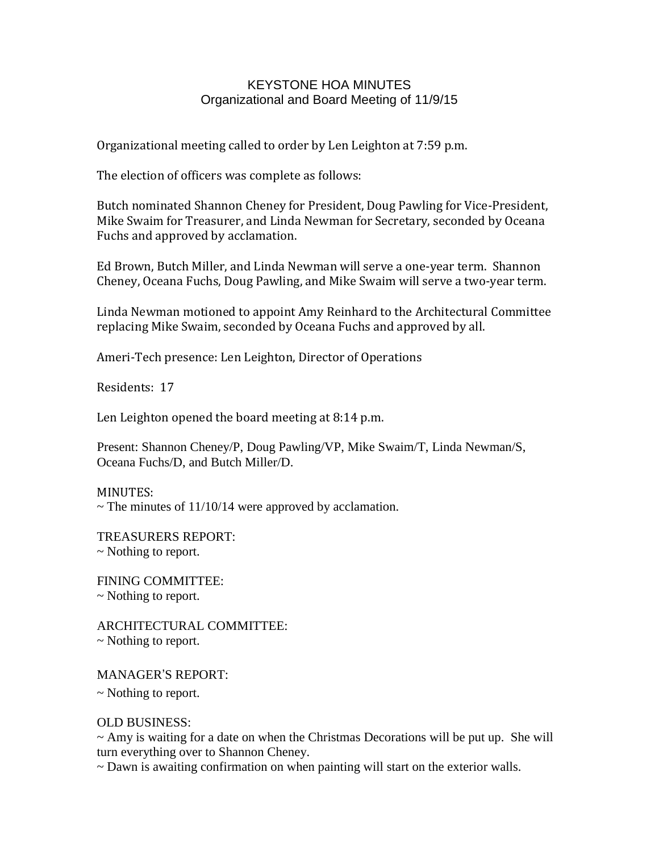## KEYSTONE HOA MINUTES Organizational and Board Meeting of 11/9/15

Organizational meeting called to order by Len Leighton at 7:59 p.m.

The election of officers was complete as follows:

Butch nominated Shannon Cheney for President, Doug Pawling for Vice-President, Mike Swaim for Treasurer, and Linda Newman for Secretary, seconded by Oceana Fuchs and approved by acclamation.

Ed Brown, Butch Miller, and Linda Newman will serve a one-year term. Shannon Cheney, Oceana Fuchs, Doug Pawling, and Mike Swaim will serve a two-year term.

Linda Newman motioned to appoint Amy Reinhard to the Architectural Committee replacing Mike Swaim, seconded by Oceana Fuchs and approved by all.

Ameri-Tech presence: Len Leighton, Director of Operations

Residents: 17

Len Leighton opened the board meeting at 8:14 p.m.

Present: Shannon Cheney/P, Doug Pawling/VP, Mike Swaim/T, Linda Newman/S, Oceana Fuchs/D, and Butch Miller/D.

MINUTES:  $\sim$  The minutes of 11/10/14 were approved by acclamation.

TREASURERS REPORT: ~ Nothing to report.

FINING COMMITTEE: ~ Nothing to report.

ARCHITECTURAL COMMITTEE: ~ Nothing to report.

MANAGER'S REPORT:

~ Nothing to report.

OLD BUSINESS:

 $\sim$  Amy is waiting for a date on when the Christmas Decorations will be put up. She will turn everything over to Shannon Cheney.

~ Dawn is awaiting confirmation on when painting will start on the exterior walls.